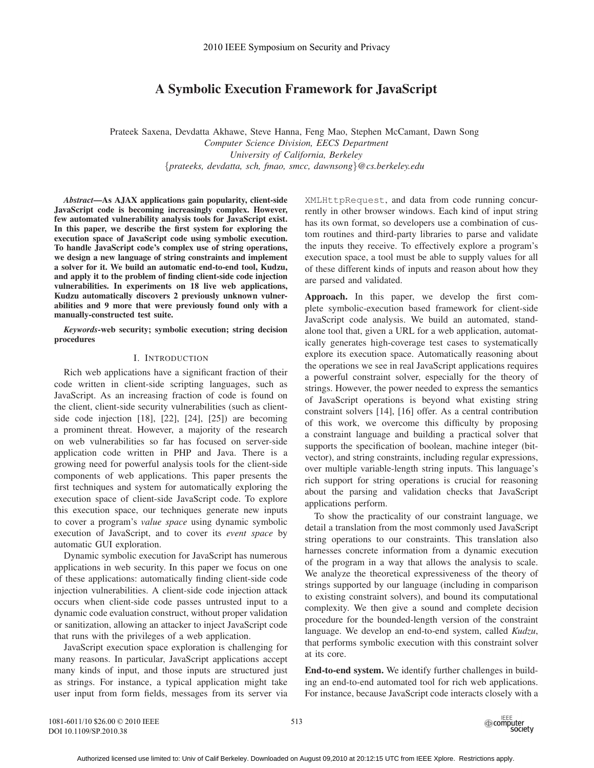# **A Symbolic Execution Framework for JavaScript**

Prateek Saxena, Devdatta Akhawe, Steve Hanna, Feng Mao, Stephen McCamant, Dawn Song *Computer Science Division, EECS Department University of California, Berkeley* {*prateeks, devdatta, sch, fmao, smcc, dawnsong*}*@cs.berkeley.edu*

*Abstract***—As AJAX applications gain popularity, client-side JavaScript code is becoming increasingly complex. However, few automated vulnerability analysis tools for JavaScript exist. In this paper, we describe the first system for exploring the execution space of JavaScript code using symbolic execution. To handle JavaScript code's complex use of string operations, we design a new language of string constraints and implement a solver for it. We build an automatic end-to-end tool, Kudzu, and apply it to the problem of finding client-side code injection vulnerabilities. In experiments on 18 live web applications, Kudzu automatically discovers 2 previously unknown vulnerabilities and 9 more that were previously found only with a manually-constructed test suite.**

*Keywords***-web security; symbolic execution; string decision procedures**

# I. INTRODUCTION

Rich web applications have a significant fraction of their code written in client-side scripting languages, such as JavaScript. As an increasing fraction of code is found on the client, client-side security vulnerabilities (such as clientside code injection [18], [22], [24], [25]) are becoming a prominent threat. However, a majority of the research on web vulnerabilities so far has focused on server-side application code written in PHP and Java. There is a growing need for powerful analysis tools for the client-side components of web applications. This paper presents the first techniques and system for automatically exploring the execution space of client-side JavaScript code. To explore this execution space, our techniques generate new inputs to cover a program's *value space* using dynamic symbolic execution of JavaScript, and to cover its *event space* by automatic GUI exploration.

Dynamic symbolic execution for JavaScript has numerous applications in web security. In this paper we focus on one of these applications: automatically finding client-side code injection vulnerabilities. A client-side code injection attack occurs when client-side code passes untrusted input to a dynamic code evaluation construct, without proper validation or sanitization, allowing an attacker to inject JavaScript code that runs with the privileges of a web application.

JavaScript execution space exploration is challenging for many reasons. In particular, JavaScript applications accept many kinds of input, and those inputs are structured just as strings. For instance, a typical application might take user input from form fields, messages from its server via XMLHttpRequest, and data from code running concurrently in other browser windows. Each kind of input string has its own format, so developers use a combination of custom routines and third-party libraries to parse and validate the inputs they receive. To effectively explore a program's execution space, a tool must be able to supply values for all of these different kinds of inputs and reason about how they are parsed and validated.

**Approach.** In this paper, we develop the first complete symbolic-execution based framework for client-side JavaScript code analysis. We build an automated, standalone tool that, given a URL for a web application, automatically generates high-coverage test cases to systematically explore its execution space. Automatically reasoning about the operations we see in real JavaScript applications requires a powerful constraint solver, especially for the theory of strings. However, the power needed to express the semantics of JavaScript operations is beyond what existing string constraint solvers [14], [16] offer. As a central contribution of this work, we overcome this difficulty by proposing a constraint language and building a practical solver that supports the specification of boolean, machine integer (bitvector), and string constraints, including regular expressions, over multiple variable-length string inputs. This language's rich support for string operations is crucial for reasoning about the parsing and validation checks that JavaScript applications perform.

To show the practicality of our constraint language, we detail a translation from the most commonly used JavaScript string operations to our constraints. This translation also harnesses concrete information from a dynamic execution of the program in a way that allows the analysis to scale. We analyze the theoretical expressiveness of the theory of strings supported by our language (including in comparison to existing constraint solvers), and bound its computational complexity. We then give a sound and complete decision procedure for the bounded-length version of the constraint language. We develop an end-to-end system, called *Kudzu*, that performs symbolic execution with this constraint solver at its core.

**End-to-end system.** We identify further challenges in building an end-to-end automated tool for rich web applications. For instance, because JavaScript code interacts closely with a

1081-6011/10 \$26.00 © 2010 IEEE DOI 10.1109/SP.2010.38

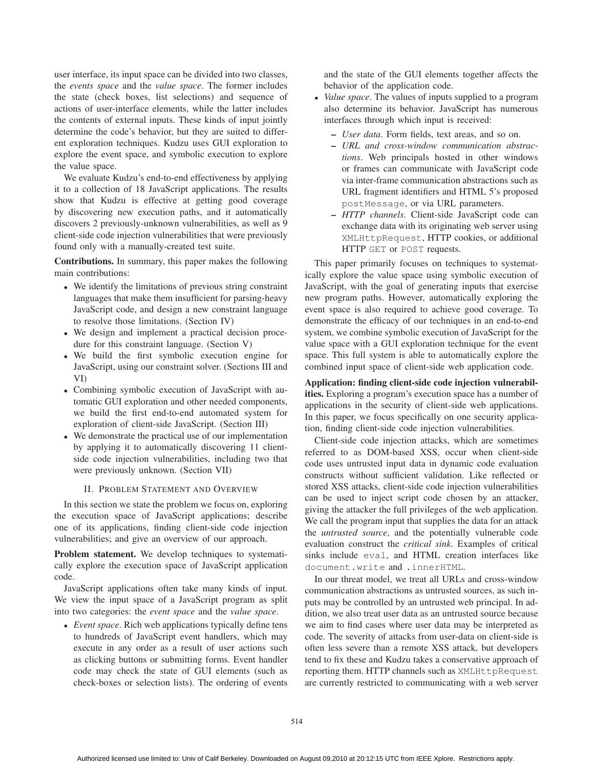user interface, its input space can be divided into two classes, the *events space* and the *value space*. The former includes the state (check boxes, list selections) and sequence of actions of user-interface elements, while the latter includes the contents of external inputs. These kinds of input jointly determine the code's behavior, but they are suited to different exploration techniques. Kudzu uses GUI exploration to explore the event space, and symbolic execution to explore the value space.

We evaluate Kudzu's end-to-end effectiveness by applying it to a collection of 18 JavaScript applications. The results show that Kudzu is effective at getting good coverage by discovering new execution paths, and it automatically discovers 2 previously-unknown vulnerabilities, as well as 9 client-side code injection vulnerabilities that were previously found only with a manually-created test suite.

**Contributions.** In summary, this paper makes the following main contributions:

- We identify the limitations of previous string constraint languages that make them insufficient for parsing-heavy JavaScript code, and design a new constraint language to resolve those limitations. (Section IV)
- We design and implement a practical decision procedure for this constraint language. (Section V)
- We build the first symbolic execution engine for JavaScript, using our constraint solver. (Sections III and VI)
- Combining symbolic execution of JavaScript with automatic GUI exploration and other needed components, we build the first end-to-end automated system for exploration of client-side JavaScript. (Section III)
- We demonstrate the practical use of our implementation by applying it to automatically discovering 11 clientside code injection vulnerabilities, including two that were previously unknown. (Section VII)

#### II. PROBLEM STATEMENT AND OVERVIEW

In this section we state the problem we focus on, exploring the execution space of JavaScript applications; describe one of its applications, finding client-side code injection vulnerabilities; and give an overview of our approach.

**Problem statement.** We develop techniques to systematically explore the execution space of JavaScript application code.

JavaScript applications often take many kinds of input. We view the input space of a JavaScript program as split into two categories: the *event space* and the *value space*.

• *Event space*. Rich web applications typically define tens to hundreds of JavaScript event handlers, which may execute in any order as a result of user actions such as clicking buttons or submitting forms. Event handler code may check the state of GUI elements (such as check-boxes or selection lists). The ordering of events

and the state of the GUI elements together affects the behavior of the application code.

- *Value space*. The values of inputs supplied to a program also determine its behavior. JavaScript has numerous interfaces through which input is received:
	- **–** *User data*. Form fields, text areas, and so on.
	- **–** *URL and cross-window communication abstractions*. Web principals hosted in other windows or frames can communicate with JavaScript code via inter-frame communication abstractions such as URL fragment identifiers and HTML 5's proposed postMessage, or via URL parameters.
	- **–** *HTTP channels*. Client-side JavaScript code can exchange data with its originating web server using XMLHttpRequest, HTTP cookies, or additional HTTP GET or POST requests.

This paper primarily focuses on techniques to systematically explore the value space using symbolic execution of JavaScript, with the goal of generating inputs that exercise new program paths. However, automatically exploring the event space is also required to achieve good coverage. To demonstrate the efficacy of our techniques in an end-to-end system, we combine symbolic execution of JavaScript for the value space with a GUI exploration technique for the event space. This full system is able to automatically explore the combined input space of client-side web application code.

**Application: finding client-side code injection vulnerabilities.** Exploring a program's execution space has a number of applications in the security of client-side web applications. In this paper, we focus specifically on one security application, finding client-side code injection vulnerabilities.

Client-side code injection attacks, which are sometimes referred to as DOM-based XSS, occur when client-side code uses untrusted input data in dynamic code evaluation constructs without sufficient validation. Like reflected or stored XSS attacks, client-side code injection vulnerabilities can be used to inject script code chosen by an attacker, giving the attacker the full privileges of the web application. We call the program input that supplies the data for an attack the *untrusted source*, and the potentially vulnerable code evaluation construct the *critical sink*. Examples of critical sinks include eval, and HTML creation interfaces like document.write and .innerHTML.

In our threat model, we treat all URLs and cross-window communication abstractions as untrusted sources, as such inputs may be controlled by an untrusted web principal. In addition, we also treat user data as an untrusted source because we aim to find cases where user data may be interpreted as code. The severity of attacks from user-data on client-side is often less severe than a remote XSS attack, but developers tend to fix these and Kudzu takes a conservative approach of reporting them. HTTP channels such as XMLHttpRequest are currently restricted to communicating with a web server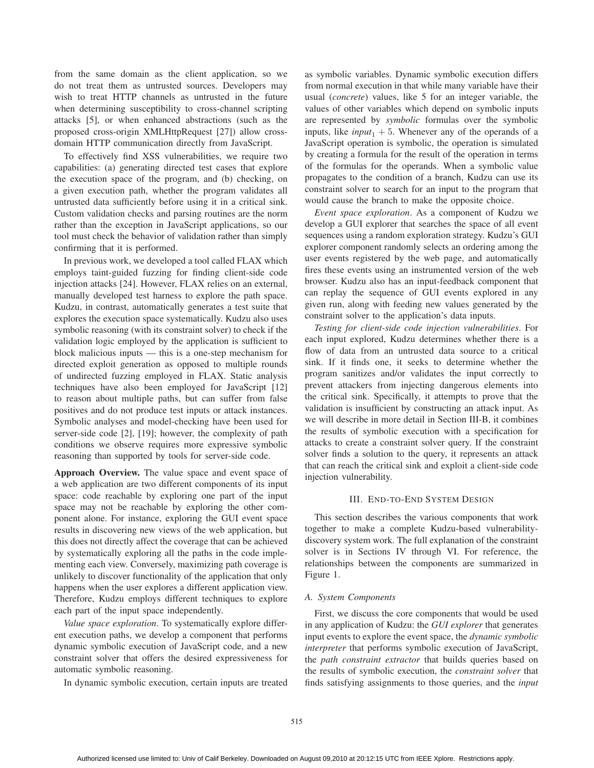from the same domain as the client application, so we do not treat them as untrusted sources. Developers may wish to treat HTTP channels as untrusted in the future when determining susceptibility to cross-channel scripting attacks [5], or when enhanced abstractions (such as the proposed cross-origin XMLHttpRequest [27]) allow crossdomain HTTP communication directly from JavaScript.

To effectively find XSS vulnerabilities, we require two capabilities: (a) generating directed test cases that explore the execution space of the program, and (b) checking, on a given execution path, whether the program validates all untrusted data sufficiently before using it in a critical sink. Custom validation checks and parsing routines are the norm rather than the exception in JavaScript applications, so our tool must check the behavior of validation rather than simply confirming that it is performed.

In previous work, we developed a tool called FLAX which employs taint-guided fuzzing for finding client-side code injection attacks [24]. However, FLAX relies on an external, manually developed test harness to explore the path space. Kudzu, in contrast, automatically generates a test suite that explores the execution space systematically. Kudzu also uses symbolic reasoning (with its constraint solver) to check if the validation logic employed by the application is sufficient to block malicious inputs — this is a one-step mechanism for directed exploit generation as opposed to multiple rounds of undirected fuzzing employed in FLAX. Static analysis techniques have also been employed for JavaScript [12] to reason about multiple paths, but can suffer from false positives and do not produce test inputs or attack instances. Symbolic analyses and model-checking have been used for server-side code [2], [19]; however, the complexity of path conditions we observe requires more expressive symbolic reasoning than supported by tools for server-side code.

**Approach Overview.** The value space and event space of a web application are two different components of its input space: code reachable by exploring one part of the input space may not be reachable by exploring the other component alone. For instance, exploring the GUI event space results in discovering new views of the web application, but this does not directly affect the coverage that can be achieved by systematically exploring all the paths in the code implementing each view. Conversely, maximizing path coverage is unlikely to discover functionality of the application that only happens when the user explores a different application view. Therefore, Kudzu employs different techniques to explore each part of the input space independently.

*Value space exploration*. To systematically explore different execution paths, we develop a component that performs dynamic symbolic execution of JavaScript code, and a new constraint solver that offers the desired expressiveness for automatic symbolic reasoning.

In dynamic symbolic execution, certain inputs are treated

as symbolic variables. Dynamic symbolic execution differs from normal execution in that while many variable have their usual (*concrete*) values, like 5 for an integer variable, the values of other variables which depend on symbolic inputs are represented by *symbolic* formulas over the symbolic inputs, like  $input_1 + 5$ . Whenever any of the operands of a JavaScript operation is symbolic, the operation is simulated by creating a formula for the result of the operation in terms of the formulas for the operands. When a symbolic value propagates to the condition of a branch, Kudzu can use its constraint solver to search for an input to the program that would cause the branch to make the opposite choice.

*Event space exploration*. As a component of Kudzu we develop a GUI explorer that searches the space of all event sequences using a random exploration strategy. Kudzu's GUI explorer component randomly selects an ordering among the user events registered by the web page, and automatically fires these events using an instrumented version of the web browser. Kudzu also has an input-feedback component that can replay the sequence of GUI events explored in any given run, along with feeding new values generated by the constraint solver to the application's data inputs.

*Testing for client-side code injection vulnerabilities*. For each input explored, Kudzu determines whether there is a flow of data from an untrusted data source to a critical sink. If it finds one, it seeks to determine whether the program sanitizes and/or validates the input correctly to prevent attackers from injecting dangerous elements into the critical sink. Specifically, it attempts to prove that the validation is insufficient by constructing an attack input. As we will describe in more detail in Section III-B, it combines the results of symbolic execution with a specification for attacks to create a constraint solver query. If the constraint solver finds a solution to the query, it represents an attack that can reach the critical sink and exploit a client-side code injection vulnerability.

## III. END-TO-END SYSTEM DESIGN

This section describes the various components that work together to make a complete Kudzu-based vulnerabilitydiscovery system work. The full explanation of the constraint solver is in Sections IV through VI. For reference, the relationships between the components are summarized in Figure 1.

## *A. System Components*

First, we discuss the core components that would be used in any application of Kudzu: the *GUI explorer* that generates input events to explore the event space, the *dynamic symbolic interpreter* that performs symbolic execution of JavaScript, the *path constraint extractor* that builds queries based on the results of symbolic execution, the *constraint solver* that finds satisfying assignments to those queries, and the *input*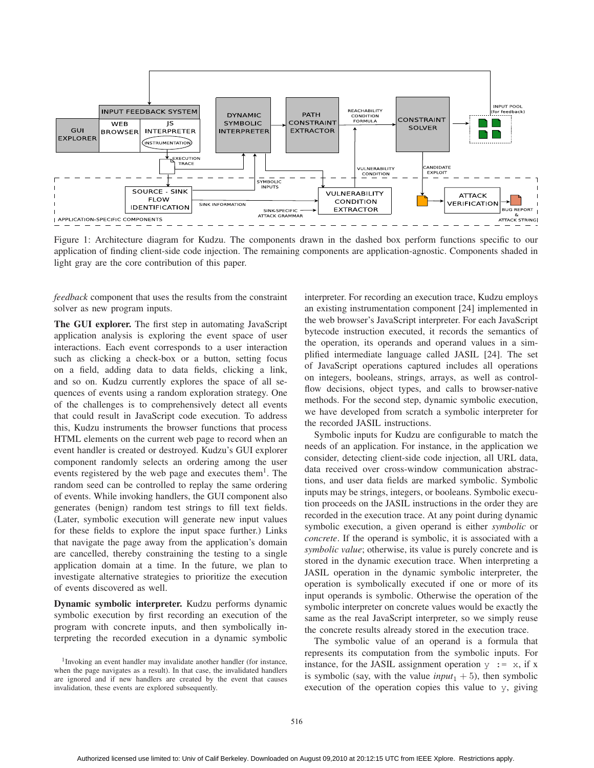

Figure 1: Architecture diagram for Kudzu. The components drawn in the dashed box perform functions specific to our application of finding client-side code injection. The remaining components are application-agnostic. Components shaded in light gray are the core contribution of this paper.

*feedback* component that uses the results from the constraint solver as new program inputs.

**The GUI explorer.** The first step in automating JavaScript application analysis is exploring the event space of user interactions. Each event corresponds to a user interaction such as clicking a check-box or a button, setting focus on a field, adding data to data fields, clicking a link, and so on. Kudzu currently explores the space of all sequences of events using a random exploration strategy. One of the challenges is to comprehensively detect all events that could result in JavaScript code execution. To address this, Kudzu instruments the browser functions that process HTML elements on the current web page to record when an event handler is created or destroyed. Kudzu's GUI explorer component randomly selects an ordering among the user events registered by the web page and executes them<sup>1</sup>. The random seed can be controlled to replay the same ordering of events. While invoking handlers, the GUI component also generates (benign) random test strings to fill text fields. (Later, symbolic execution will generate new input values for these fields to explore the input space further.) Links that navigate the page away from the application's domain are cancelled, thereby constraining the testing to a single application domain at a time. In the future, we plan to investigate alternative strategies to prioritize the execution of events discovered as well.

**Dynamic symbolic interpreter.** Kudzu performs dynamic symbolic execution by first recording an execution of the program with concrete inputs, and then symbolically interpreting the recorded execution in a dynamic symbolic interpreter. For recording an execution trace, Kudzu employs an existing instrumentation component [24] implemented in the web browser's JavaScript interpreter. For each JavaScript bytecode instruction executed, it records the semantics of the operation, its operands and operand values in a simplified intermediate language called JASIL [24]. The set of JavaScript operations captured includes all operations on integers, booleans, strings, arrays, as well as controlflow decisions, object types, and calls to browser-native methods. For the second step, dynamic symbolic execution, we have developed from scratch a symbolic interpreter for the recorded JASIL instructions.

Symbolic inputs for Kudzu are configurable to match the needs of an application. For instance, in the application we consider, detecting client-side code injection, all URL data, data received over cross-window communication abstractions, and user data fields are marked symbolic. Symbolic inputs may be strings, integers, or booleans. Symbolic execution proceeds on the JASIL instructions in the order they are recorded in the execution trace. At any point during dynamic symbolic execution, a given operand is either *symbolic* or *concrete*. If the operand is symbolic, it is associated with a *symbolic value*; otherwise, its value is purely concrete and is stored in the dynamic execution trace. When interpreting a JASIL operation in the dynamic symbolic interpreter, the operation is symbolically executed if one or more of its input operands is symbolic. Otherwise the operation of the symbolic interpreter on concrete values would be exactly the same as the real JavaScript interpreter, so we simply reuse the concrete results already stored in the execution trace.

The symbolic value of an operand is a formula that represents its computation from the symbolic inputs. For instance, for the JASIL assignment operation  $y := x$ , if x is symbolic (say, with the value  $input_1 + 5$ ), then symbolic execution of the operation copies this value to y, giving

<sup>&</sup>lt;sup>1</sup>Invoking an event handler may invalidate another handler (for instance, when the page navigates as a result). In that case, the invalidated handlers are ignored and if new handlers are created by the event that causes invalidation, these events are explored subsequently.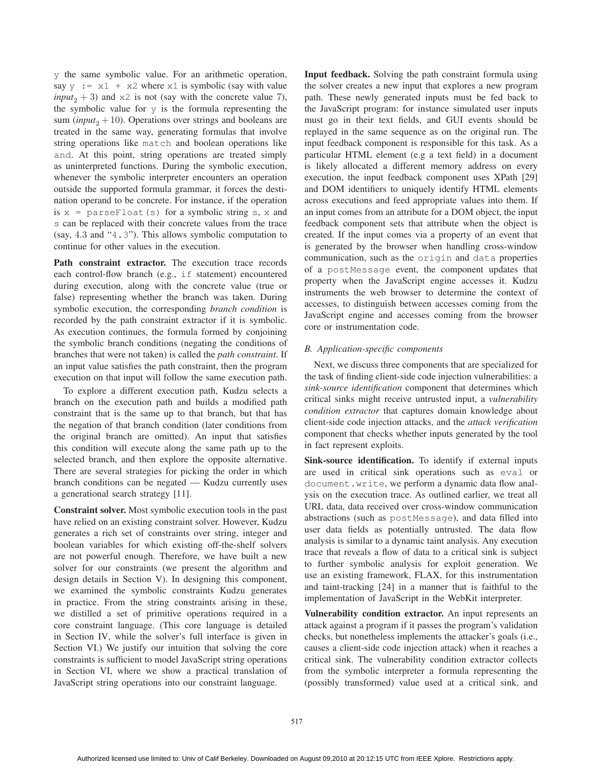y the same symbolic value. For an arithmetic operation, say  $y := x1 + x2$  where  $x1$  is symbolic (say with value *input*<sub>2</sub> + 3) and  $\times$  2 is not (say with the concrete value 7), the symbolic value for  $y$  is the formula representing the sum (*input*<sub>2</sub> + 10). Operations over strings and booleans are treated in the same way, generating formulas that involve string operations like match and boolean operations like and. At this point, string operations are treated simply as uninterpreted functions. During the symbolic execution, whenever the symbolic interpreter encounters an operation outside the supported formula grammar, it forces the destination operand to be concrete. For instance, if the operation is  $x = parseF$ loat (s) for a symbolic string s, x and s can be replaced with their concrete values from the trace (say, 4.3 and "4.3"). This allows symbolic computation to continue for other values in the execution.

Path constraint extractor. The execution trace records each control-flow branch (e.g., if statement) encountered during execution, along with the concrete value (true or false) representing whether the branch was taken. During symbolic execution, the corresponding *branch condition* is recorded by the path constraint extractor if it is symbolic. As execution continues, the formula formed by conjoining the symbolic branch conditions (negating the conditions of branches that were not taken) is called the *path constraint*. If an input value satisfies the path constraint, then the program execution on that input will follow the same execution path.

To explore a different execution path, Kudzu selects a branch on the execution path and builds a modified path constraint that is the same up to that branch, but that has the negation of that branch condition (later conditions from the original branch are omitted). An input that satisfies this condition will execute along the same path up to the selected branch, and then explore the opposite alternative. There are several strategies for picking the order in which branch conditions can be negated — Kudzu currently uses a generational search strategy [11].

**Constraint solver.** Most symbolic execution tools in the past have relied on an existing constraint solver. However, Kudzu generates a rich set of constraints over string, integer and boolean variables for which existing off-the-shelf solvers are not powerful enough. Therefore, we have built a new solver for our constraints (we present the algorithm and design details in Section V). In designing this component, we examined the symbolic constraints Kudzu generates in practice. From the string constraints arising in these, we distilled a set of primitive operations required in a core constraint language. (This core language is detailed in Section IV, while the solver's full interface is given in Section VI.) We justify our intuition that solving the core constraints is sufficient to model JavaScript string operations in Section VI, where we show a practical translation of JavaScript string operations into our constraint language.

**Input feedback.** Solving the path constraint formula using the solver creates a new input that explores a new program path. These newly generated inputs must be fed back to the JavaScript program: for instance simulated user inputs must go in their text fields, and GUI events should be replayed in the same sequence as on the original run. The input feedback component is responsible for this task. As a particular HTML element (e.g a text field) in a document is likely allocated a different memory address on every execution, the input feedback component uses XPath [29] and DOM identifiers to uniquely identify HTML elements across executions and feed appropriate values into them. If an input comes from an attribute for a DOM object, the input feedback component sets that attribute when the object is created. If the input comes via a property of an event that is generated by the browser when handling cross-window communication, such as the origin and data properties of a postMessage event, the component updates that property when the JavaScript engine accesses it. Kudzu instruments the web browser to determine the context of accesses, to distinguish between accesses coming from the JavaScript engine and accesses coming from the browser core or instrumentation code.

# *B. Application-specific components*

Next, we discuss three components that are specialized for the task of finding client-side code injection vulnerabilities: a *sink-source identification* component that determines which critical sinks might receive untrusted input, a *vulnerability condition extractor* that captures domain knowledge about client-side code injection attacks, and the *attack verification* component that checks whether inputs generated by the tool in fact represent exploits.

**Sink-source identification.** To identify if external inputs are used in critical sink operations such as eval or document.write, we perform a dynamic data flow analysis on the execution trace. As outlined earlier, we treat all URL data, data received over cross-window communication abstractions (such as postMessage), and data filled into user data fields as potentially untrusted. The data flow analysis is similar to a dynamic taint analysis. Any execution trace that reveals a flow of data to a critical sink is subject to further symbolic analysis for exploit generation. We use an existing framework, FLAX, for this instrumentation and taint-tracking [24] in a manner that is faithful to the implementation of JavaScript in the WebKit interpreter.

**Vulnerability condition extractor.** An input represents an attack against a program if it passes the program's validation checks, but nonetheless implements the attacker's goals (i.e., causes a client-side code injection attack) when it reaches a critical sink. The vulnerability condition extractor collects from the symbolic interpreter a formula representing the (possibly transformed) value used at a critical sink, and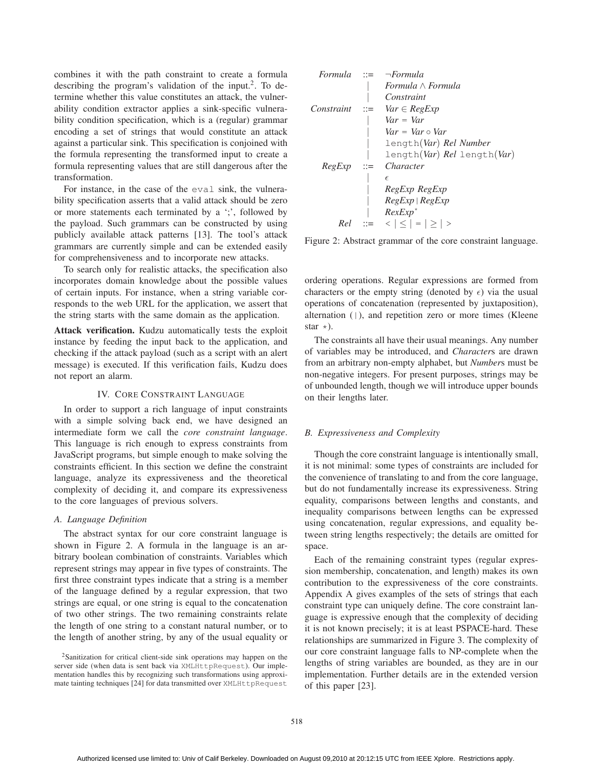combines it with the path constraint to create a formula describing the program's validation of the input.<sup>2</sup>. To determine whether this value constitutes an attack, the vulnerability condition extractor applies a sink-specific vulnerability condition specification, which is a (regular) grammar encoding a set of strings that would constitute an attack against a particular sink. This specification is conjoined with the formula representing the transformed input to create a formula representing values that are still dangerous after the transformation.

For instance, in the case of the eval sink, the vulnerability specification asserts that a valid attack should be zero or more statements each terminated by a ';', followed by the payload. Such grammars can be constructed by using publicly available attack patterns [13]. The tool's attack grammars are currently simple and can be extended easily for comprehensiveness and to incorporate new attacks.

To search only for realistic attacks, the specification also incorporates domain knowledge about the possible values of certain inputs. For instance, when a string variable corresponds to the web URL for the application, we assert that the string starts with the same domain as the application.

**Attack verification.** Kudzu automatically tests the exploit instance by feeding the input back to the application, and checking if the attack payload (such as a script with an alert message) is executed. If this verification fails, Kudzu does not report an alarm.

# IV. CORE CONSTRAINT LANGUAGE

In order to support a rich language of input constraints with a simple solving back end, we have designed an intermediate form we call the *core constraint language*. This language is rich enough to express constraints from JavaScript programs, but simple enough to make solving the constraints efficient. In this section we define the constraint language, analyze its expressiveness and the theoretical complexity of deciding it, and compare its expressiveness to the core languages of previous solvers.

# *A. Language Definition*

The abstract syntax for our core constraint language is shown in Figure 2. A formula in the language is an arbitrary boolean combination of constraints. Variables which represent strings may appear in five types of constraints. The first three constraint types indicate that a string is a member of the language defined by a regular expression, that two strings are equal, or one string is equal to the concatenation of two other strings. The two remaining constraints relate the length of one string to a constant natural number, or to the length of another string, by any of the usual equality or

2Sanitization for critical client-side sink operations may happen on the server side (when data is sent back via XMLHttpRequest). Our implementation handles this by recognizing such transformations using approximate tainting techniques [24] for data transmitted over XMLHttpRequest

| Formula | ::= $\neg$ Formula          |
|---------|-----------------------------|
|         | Formula $\land$ Formula     |
|         | Constant                    |
|         | Var $\in$ RegExp            |
|         | Var = Var                   |
|         | Var = Var                   |
|         | length(Var) Rel Number      |
|         | length(Var) Rel length(Var) |
| RegExp  | ::= Character               |
|         | EqExp RegExp                |
|         | RegExp RegExp               |
|         | ResExp                      |
|         | ResExp                      |
|         | ResExp                      |
|         | ResExp                      |
|         | ResExp                      |

Figure 2: Abstract grammar of the core constraint language.

ordering operations. Regular expressions are formed from characters or the empty string (denoted by  $\epsilon$ ) via the usual operations of concatenation (represented by juxtaposition), alternation (|), and repetition zero or more times (Kleene star  $\star$ ).

The constraints all have their usual meanings. Any number of variables may be introduced, and *Character*s are drawn from an arbitrary non-empty alphabet, but *Number*s must be non-negative integers. For present purposes, strings may be of unbounded length, though we will introduce upper bounds on their lengths later.

## *B. Expressiveness and Complexity*

Though the core constraint language is intentionally small, it is not minimal: some types of constraints are included for the convenience of translating to and from the core language, but do not fundamentally increase its expressiveness. String equality, comparisons between lengths and constants, and inequality comparisons between lengths can be expressed using concatenation, regular expressions, and equality between string lengths respectively; the details are omitted for space.

Each of the remaining constraint types (regular expression membership, concatenation, and length) makes its own contribution to the expressiveness of the core constraints. Appendix A gives examples of the sets of strings that each constraint type can uniquely define. The core constraint language is expressive enough that the complexity of deciding it is not known precisely; it is at least PSPACE-hard. These relationships are summarized in Figure 3. The complexity of our core constraint language falls to NP-complete when the lengths of string variables are bounded, as they are in our implementation. Further details are in the extended version of this paper [23].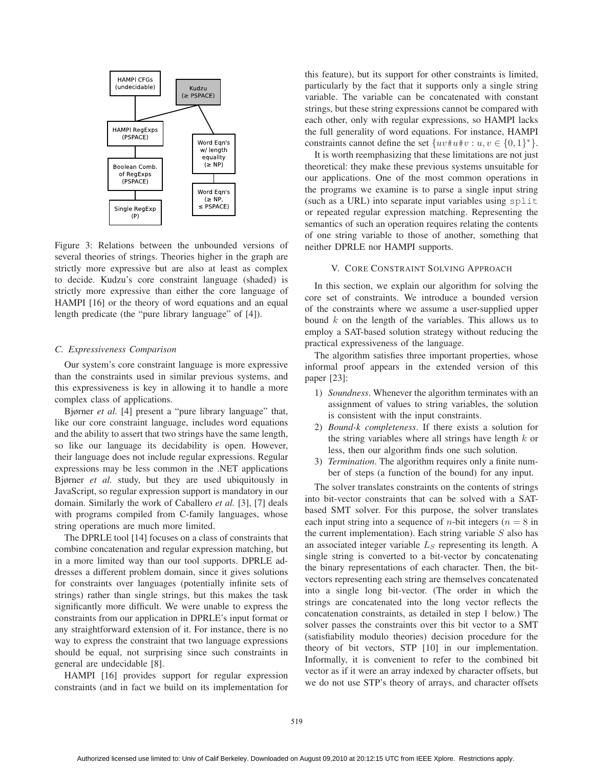

Figure 3: Relations between the unbounded versions of several theories of strings. Theories higher in the graph are strictly more expressive but are also at least as complex to decide. Kudzu's core constraint language (shaded) is strictly more expressive than either the core language of HAMPI [16] or the theory of word equations and an equal length predicate (the "pure library language" of [4]).

#### *C. Expressiveness Comparison*

Our system's core constraint language is more expressive than the constraints used in similar previous systems, and this expressiveness is key in allowing it to handle a more complex class of applications.

Bjørner *et al.* [4] present a "pure library language" that, like our core constraint language, includes word equations and the ability to assert that two strings have the same length, so like our language its decidability is open. However, their language does not include regular expressions. Regular expressions may be less common in the .NET applications Bjørner *et al.* study, but they are used ubiquitously in JavaScript, so regular expression support is mandatory in our domain. Similarly the work of Caballero *et al.* [3], [7] deals with programs compiled from C-family languages, whose string operations are much more limited.

The DPRLE tool [14] focuses on a class of constraints that combine concatenation and regular expression matching, but in a more limited way than our tool supports. DPRLE addresses a different problem domain, since it gives solutions for constraints over languages (potentially infinite sets of strings) rather than single strings, but this makes the task significantly more difficult. We were unable to express the constraints from our application in DPRLE's input format or any straightforward extension of it. For instance, there is no way to express the constraint that two language expressions should be equal, not surprising since such constraints in general are undecidable [8].

HAMPI [16] provides support for regular expression constraints (and in fact we build on its implementation for this feature), but its support for other constraints is limited, particularly by the fact that it supports only a single string variable. The variable can be concatenated with constant strings, but these string expressions cannot be compared with each other, only with regular expressions, so HAMPI lacks the full generality of word equations. For instance, HAMPI constraints cannot define the set  $\{uv\#u\#v : u, v \in \{0,1\}^*\}.$ 

It is worth reemphasizing that these limitations are not just theoretical: they make these previous systems unsuitable for our applications. One of the most common operations in the programs we examine is to parse a single input string (such as a URL) into separate input variables using split or repeated regular expression matching. Representing the semantics of such an operation requires relating the contents of one string variable to those of another, something that neither DPRLE nor HAMPI supports.

## V. CORE CONSTRAINT SOLVING APPROACH

In this section, we explain our algorithm for solving the core set of constraints. We introduce a bounded version of the constraints where we assume a user-supplied upper bound  $k$  on the length of the variables. This allows us to employ a SAT-based solution strategy without reducing the practical expressiveness of the language.

The algorithm satisfies three important properties, whose informal proof appears in the extended version of this paper [23]:

- 1) *Soundness*. Whenever the algorithm terminates with an assignment of values to string variables, the solution is consistent with the input constraints.
- 2) *Bound-k completeness*. If there exists a solution for the string variables where all strings have length  $k$  or less, then our algorithm finds one such solution.
- 3) *Termination*. The algorithm requires only a finite number of steps (a function of the bound) for any input.

The solver translates constraints on the contents of strings into bit-vector constraints that can be solved with a SATbased SMT solver. For this purpose, the solver translates each input string into a sequence of *n*-bit integers ( $n = 8$  in the current implementation). Each string variable  $S$  also has an associated integer variable  $L<sub>S</sub>$  representing its length. A single string is converted to a bit-vector by concatenating the binary representations of each character. Then, the bitvectors representing each string are themselves concatenated into a single long bit-vector. (The order in which the strings are concatenated into the long vector reflects the concatenation constraints, as detailed in step 1 below.) The solver passes the constraints over this bit vector to a SMT (satisfiability modulo theories) decision procedure for the theory of bit vectors, STP [10] in our implementation. Informally, it is convenient to refer to the combined bit vector as if it were an array indexed by character offsets, but we do not use STP's theory of arrays, and character offsets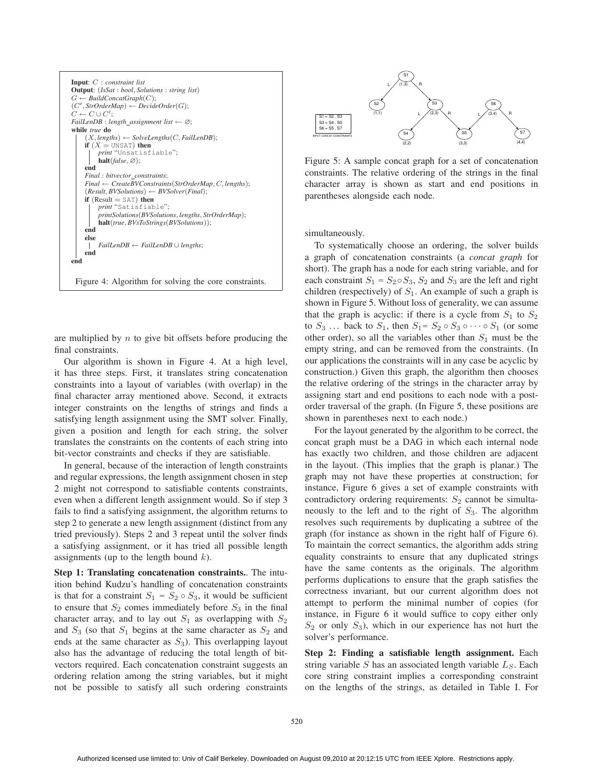

are multiplied by  $n$  to give bit offsets before producing the final constraints.

Our algorithm is shown in Figure 4. At a high level, it has three steps. First, it translates string concatenation constraints into a layout of variables (with overlap) in the final character array mentioned above. Second, it extracts integer constraints on the lengths of strings and finds a satisfying length assignment using the SMT solver. Finally, given a position and length for each string, the solver translates the constraints on the contents of each string into bit-vector constraints and checks if they are satisfiable.

In general, because of the interaction of length constraints and regular expressions, the length assignment chosen in step 2 might not correspond to satisfiable contents constraints, even when a different length assignment would. So if step 3 fails to find a satisfying assignment, the algorithm returns to step 2 to generate a new length assignment (distinct from any tried previously). Steps 2 and 3 repeat until the solver finds a satisfying assignment, or it has tried all possible length assignments (up to the length bound  $k$ ).

**Step 1: Translating concatenation constraints.**. The intuition behind Kudzu's handling of concatenation constraints is that for a constraint  $S_1 = S_2 \circ S_3$ , it would be sufficient to ensure that  $S_2$  comes immediately before  $S_3$  in the final character array, and to lay out  $S_1$  as overlapping with  $S_2$ and  $S_3$  (so that  $S_1$  begins at the same character as  $S_2$  and ends at the same character as  $S_3$ ). This overlapping layout also has the advantage of reducing the total length of bitvectors required. Each concatenation constraint suggests an ordering relation among the string variables, but it might not be possible to satisfy all such ordering constraints

![](_page_7_Figure_5.jpeg)

Figure 5: A sample concat graph for a set of concatenation constraints. The relative ordering of the strings in the final character array is shown as start and end positions in parentheses alongside each node.

simultaneously.

To systematically choose an ordering, the solver builds a graph of concatenation constraints (a *concat graph* for short). The graph has a node for each string variable, and for each constraint  $S_1 = S_2 \circ S_3$ ,  $S_2$  and  $S_3$  are the left and right children (respectively) of  $S_1$ . An example of such a graph is shown in Figure 5. Without loss of generality, we can assume that the graph is acyclic: if there is a cycle from  $S_1$  to  $S_2$ to  $S_3$  ... back to  $S_1$ , then  $S_1 = S_2 \circ S_3 \circ \cdots \circ S_1$  (or some other order), so all the variables other than  $S_1$  must be the empty string, and can be removed from the constraints. (In our applications the constraints will in any case be acyclic by construction.) Given this graph, the algorithm then chooses the relative ordering of the strings in the character array by assigning start and end positions to each node with a postorder traversal of the graph. (In Figure 5, these positions are shown in parentheses next to each node.)

For the layout generated by the algorithm to be correct, the concat graph must be a DAG in which each internal node has exactly two children, and those children are adjacent in the layout. (This implies that the graph is planar.) The graph may not have these properties at construction; for instance, Figure 6 gives a set of example constraints with contradictory ordering requirements:  $S_2$  cannot be simultaneously to the left and to the right of  $S_3$ . The algorithm resolves such requirements by duplicating a subtree of the graph (for instance as shown in the right half of Figure 6). To maintain the correct semantics, the algorithm adds string equality constraints to ensure that any duplicated strings have the same contents as the originals. The algorithm performs duplications to ensure that the graph satisfies the correctness invariant, but our current algorithm does not attempt to perform the minimal number of copies (for instance, in Figure 6 it would suffice to copy either only  $S_2$  or only  $S_3$ ), which in our experience has not hurt the solver's performance.

**Step 2: Finding a satisfiable length assignment.** Each string variable S has an associated length variable  $L<sub>S</sub>$ . Each core string constraint implies a corresponding constraint on the lengths of the strings, as detailed in Table I. For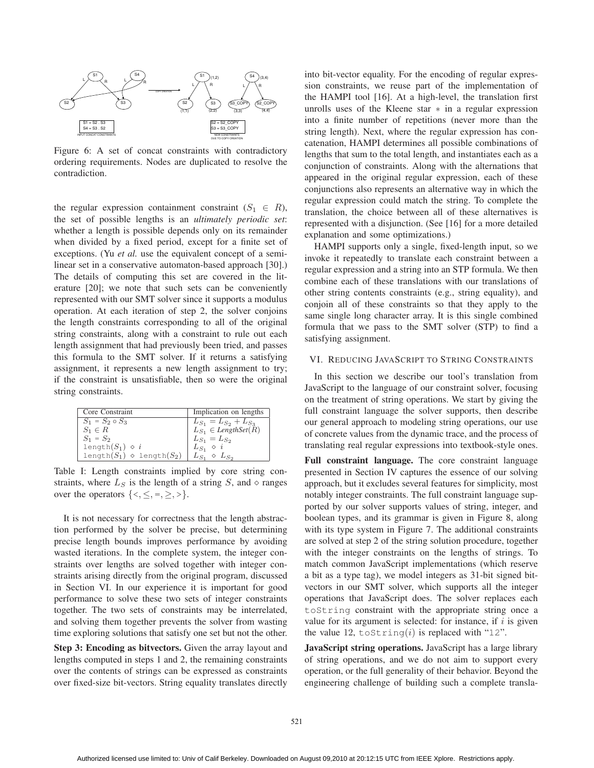![](_page_8_Figure_0.jpeg)

Figure 6: A set of concat constraints with contradictory ordering requirements. Nodes are duplicated to resolve the contradiction.

the regular expression containment constraint  $(S_1 \in R)$ , the set of possible lengths is an *ultimately periodic set*: whether a length is possible depends only on its remainder when divided by a fixed period, except for a finite set of exceptions. (Yu *et al.* use the equivalent concept of a semilinear set in a conservative automaton-based approach [30].) The details of computing this set are covered in the literature [20]; we note that such sets can be conveniently represented with our SMT solver since it supports a modulus operation. At each iteration of step 2, the solver conjoins the length constraints corresponding to all of the original string constraints, along with a constraint to rule out each length assignment that had previously been tried, and passes this formula to the SMT solver. If it returns a satisfying assignment, it represents a new length assignment to try; if the constraint is unsatisfiable, then so were the original string constraints.

| Core Constraint                                                     | Implication on lengths                   |
|---------------------------------------------------------------------|------------------------------------------|
| $S_1 = S_2 \circ S_3$                                               | $\overline{L_{S_1}} = L_{S_2} + L_{S_3}$ |
| $S_1 \in R$                                                         | $L_{S_1}$ $\in$ LengthSet(R)             |
| $S_1 = S_2$                                                         | $L_{S_1} = L_{S_2}$                      |
| length $(S_1) \diamond i$                                           | $L_{S_1} \diamond i$                     |
| length $(S_1)$ $\circ$ length $(S_2)$   $L_{S_1}$ $\circ$ $L_{S_2}$ |                                          |

Table I: Length constraints implied by core string constraints, where  $L_S$  is the length of a string S, and  $\diamond$  ranges over the operators  $\{<,\leq,=,\geq,>\}.$ 

It is not necessary for correctness that the length abstraction performed by the solver be precise, but determining precise length bounds improves performance by avoiding wasted iterations. In the complete system, the integer constraints over lengths are solved together with integer constraints arising directly from the original program, discussed in Section VI. In our experience it is important for good performance to solve these two sets of integer constraints together. The two sets of constraints may be interrelated, and solving them together prevents the solver from wasting time exploring solutions that satisfy one set but not the other.

**Step 3: Encoding as bitvectors.** Given the array layout and lengths computed in steps 1 and 2, the remaining constraints over the contents of strings can be expressed as constraints over fixed-size bit-vectors. String equality translates directly into bit-vector equality. For the encoding of regular expression constraints, we reuse part of the implementation of the HAMPI tool [16]. At a high-level, the translation first unrolls uses of the Kleene star ∗ in a regular expression into a finite number of repetitions (never more than the string length). Next, where the regular expression has concatenation, HAMPI determines all possible combinations of lengths that sum to the total length, and instantiates each as a conjunction of constraints. Along with the alternations that appeared in the original regular expression, each of these conjunctions also represents an alternative way in which the regular expression could match the string. To complete the translation, the choice between all of these alternatives is represented with a disjunction. (See [16] for a more detailed explanation and some optimizations.)

HAMPI supports only a single, fixed-length input, so we invoke it repeatedly to translate each constraint between a regular expression and a string into an STP formula. We then combine each of these translations with our translations of other string contents constraints (e.g., string equality), and conjoin all of these constraints so that they apply to the same single long character array. It is this single combined formula that we pass to the SMT solver (STP) to find a satisfying assignment.

# VI. REDUCING JAVASCRIPT TO STRING CONSTRAINTS

In this section we describe our tool's translation from JavaScript to the language of our constraint solver, focusing on the treatment of string operations. We start by giving the full constraint language the solver supports, then describe our general approach to modeling string operations, our use of concrete values from the dynamic trace, and the process of translating real regular expressions into textbook-style ones.

**Full constraint language.** The core constraint language presented in Section IV captures the essence of our solving approach, but it excludes several features for simplicity, most notably integer constraints. The full constraint language supported by our solver supports values of string, integer, and boolean types, and its grammar is given in Figure 8, along with its type system in Figure 7. The additional constraints are solved at step 2 of the string solution procedure, together with the integer constraints on the lengths of strings. To match common JavaScript implementations (which reserve a bit as a type tag), we model integers as 31-bit signed bitvectors in our SMT solver, which supports all the integer operations that JavaScript does. The solver replaces each toString constraint with the appropriate string once a value for its argument is selected: for instance, if  $i$  is given the value 12, to String(i) is replaced with "12".

**JavaScript string operations.** JavaScript has a large library of string operations, and we do not aim to support every operation, or the full generality of their behavior. Beyond the engineering challenge of building such a complete transla-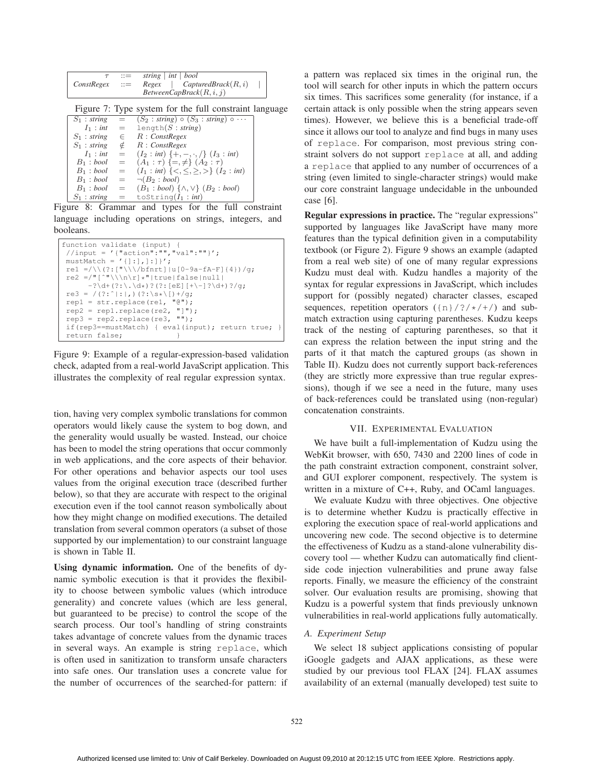|            | $\mathbf{m}$ | string $ $ int $ $ bool |                          |  |
|------------|--------------|-------------------------|--------------------------|--|
| ConstRegex | $\therefore$ | Regex                   | CapturedBrock(R, i)      |  |
|            |              |                         | BetweenCapBrack(R, i, j) |  |
|            |              |                         |                          |  |

Figure 7: Type system for the full constraint language

| $S_1$ : string | $=$      | $(S_2: string) \circ (S_3: string) \circ \cdots$           |
|----------------|----------|------------------------------------------------------------|
| $I_1: int$     | $=$      | $l$ ength $(S: string)$                                    |
| $S_1$ : string | $\in$    | R: ConstRegex                                              |
| $S_1$ : string | $\notin$ | R: ConstRegex                                              |
| $I_1$ : int =  |          | $(I_2: int) \{+, -, \cdot, / \}$ $(I_3: int)$              |
| $B_1 : bool$   | $=$      | $(A_1 : \tau) \{ = , \neq \} (A_2 : \tau)$                 |
| $B_1 : bool$   | $=$      | $(I_1: int) \{<,\leq, \geq, >\} (I_2: int)$                |
| $B_1 : bool$   | $=$      | $\neg(B_2 : bool)$                                         |
| $B_1 : bool$   | $=$      | $(B_1 : \text{bool}) \{\wedge, \vee\} (B_2 : \text{bool})$ |
| $S_1$ : string | $=$      | toString( $I_1: int$ )                                     |

Figure 8: Grammar and types for the full constraint language including operations on strings, integers, and booleans.

```
function validate (input) {
//input = '{"action":"","val":""}';
mustMatch = '{]:],]:]}';
rel = / \\\backslash (?:["\\\/bfnrt]|u[0-9a-fA-F]{4})/q;
re2 =/"\lceil<sup>"</sup>\lceil<sup>*</sup>"\\n\r]*"|true|false|null|
          -?\ddotsc(2:\ddotsc\ddotsc(2:\ddotsc(2:\ddotsc(2:\ddotsc(2:\ddotsc(2:\ddotsc(2:\ddotsc(2:\ddotsc(2:\ddotsc(2:\ddotsc(2:\ddotsc(2:\ddotsc(2:\ddotsc(2:\ddotsc(2:\ddotsc(2:\ddotsc(2:\ddotsc(2:\ddotsc(2:\ddotsc(2:\ddotsc(2:\ddotsc(2:\ddotsc(2:\ddotsc(2:\ddotsc(2:\ddotsc(2:\ddotsc(2:\ddotsc(2:\ddotsc(2:\ddotsc(2:\ddotsc(2:\ddotsc(2:\ddotsc(2:\ddotsc(2:\ddotsc(2:\ddotsc(re3 = /(?:^|:|,)(?:\s*\[)+/g;
rep1 = str.\nreplace(re1, "@");rep2 = rep1.replace(re2, "]");
rep3 = rep2.\nreplace(re3, "");if(rep3==mustMatch) { eval(input); return true; }
return false:
```
Figure 9: Example of a regular-expression-based validation check, adapted from a real-world JavaScript application. This illustrates the complexity of real regular expression syntax.

tion, having very complex symbolic translations for common operators would likely cause the system to bog down, and the generality would usually be wasted. Instead, our choice has been to model the string operations that occur commonly in web applications, and the core aspects of their behavior. For other operations and behavior aspects our tool uses values from the original execution trace (described further below), so that they are accurate with respect to the original execution even if the tool cannot reason symbolically about how they might change on modified executions. The detailed translation from several common operators (a subset of those supported by our implementation) to our constraint language is shown in Table II.

**Using dynamic information.** One of the benefits of dynamic symbolic execution is that it provides the flexibility to choose between symbolic values (which introduce generality) and concrete values (which are less general, but guaranteed to be precise) to control the scope of the search process. Our tool's handling of string constraints takes advantage of concrete values from the dynamic traces in several ways. An example is string replace, which is often used in sanitization to transform unsafe characters into safe ones. Our translation uses a concrete value for the number of occurrences of the searched-for pattern: if a pattern was replaced six times in the original run, the tool will search for other inputs in which the pattern occurs six times. This sacrifices some generality (for instance, if a certain attack is only possible when the string appears seven times). However, we believe this is a beneficial trade-off since it allows our tool to analyze and find bugs in many uses of replace. For comparison, most previous string constraint solvers do not support replace at all, and adding a replace that applied to any number of occurrences of a string (even limited to single-character strings) would make our core constraint language undecidable in the unbounded case [6].

**Regular expressions in practice.** The "regular expressions" supported by languages like JavaScript have many more features than the typical definition given in a computability textbook (or Figure 2). Figure 9 shows an example (adapted from a real web site) of one of many regular expressions Kudzu must deal with. Kudzu handles a majority of the syntax for regular expressions in JavaScript, which includes support for (possibly negated) character classes, escaped sequences, repetition operators  $({n}/?/*/*/)$  and submatch extraction using capturing parentheses. Kudzu keeps track of the nesting of capturing parentheses, so that it can express the relation between the input string and the parts of it that match the captured groups (as shown in Table II). Kudzu does not currently support back-references (they are strictly more expressive than true regular expressions), though if we see a need in the future, many uses of back-references could be translated using (non-regular) concatenation constraints.

## VII. EXPERIMENTAL EVALUATION

We have built a full-implementation of Kudzu using the WebKit browser, with 650, 7430 and 2200 lines of code in the path constraint extraction component, constraint solver, and GUI explorer component, respectively. The system is written in a mixture of C++, Ruby, and OCaml languages.

We evaluate Kudzu with three objectives. One objective is to determine whether Kudzu is practically effective in exploring the execution space of real-world applications and uncovering new code. The second objective is to determine the effectiveness of Kudzu as a stand-alone vulnerability discovery tool — whether Kudzu can automatically find clientside code injection vulnerabilities and prune away false reports. Finally, we measure the efficiency of the constraint solver. Our evaluation results are promising, showing that Kudzu is a powerful system that finds previously unknown vulnerabilities in real-world applications fully automatically.

# *A. Experiment Setup*

We select 18 subject applications consisting of popular iGoogle gadgets and AJAX applications, as these were studied by our previous tool FLAX [24]. FLAX assumes availability of an external (manually developed) test suite to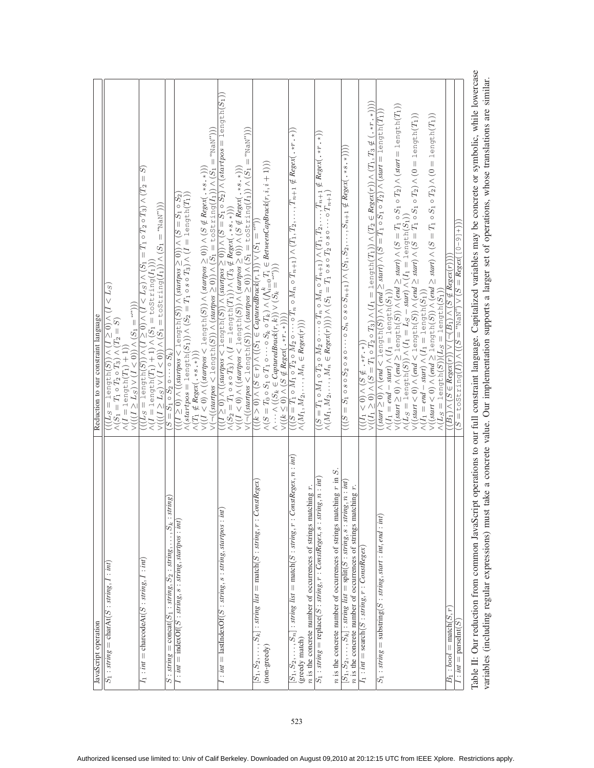| JavaScript operation                                                                                                                                                                                        | Reduction to our constraint language                                                                                                                                                                                                                                                                                                                                                                                                                                                                                                                                                                                                                                                                                                                                                                                                                                                                                                                                                                                      |
|-------------------------------------------------------------------------------------------------------------------------------------------------------------------------------------------------------------|---------------------------------------------------------------------------------------------------------------------------------------------------------------------------------------------------------------------------------------------------------------------------------------------------------------------------------------------------------------------------------------------------------------------------------------------------------------------------------------------------------------------------------------------------------------------------------------------------------------------------------------------------------------------------------------------------------------------------------------------------------------------------------------------------------------------------------------------------------------------------------------------------------------------------------------------------------------------------------------------------------------------------|
| $S_1$ : string = charAt( $S$ : string, I : int)                                                                                                                                                             | $\frac{((L_S = \text{length}(S)) \land (I \geq 0) \land (I < L_S))}{\land (S_1 = T_1 \circ T_2 \circ T_3) \land (T_2 = S)}$<br>$\sqrt{((I \ge L_S) \vee (I < 0))} \wedge (S_1 = \cdots))$<br>$\wedge (I = \text{length}(T_1) + 1)$                                                                                                                                                                                                                                                                                                                                                                                                                                                                                                                                                                                                                                                                                                                                                                                        |
| $I_1: int = \text{charcodeAt}(S: string, I: int)$                                                                                                                                                           | $\frac{(((L_s = \text{length}(5)) \land (I \ge 0) \land (I < L_S) \land (S_1 = T_1 \circ T_2 \circ T_3) \land (T_2 = S))}{\land (I = \text{length}(T_1) + 1) \land (S_1 = \text{testring}(I_1))}$<br>$\lor ((I \ge L_S) \lor (I < 0)) \land (S_1 = \text{testring}(I_1)) \land (S_1 = \text{"Nav"))})$                                                                                                                                                                                                                                                                                                                                                                                                                                                                                                                                                                                                                                                                                                                    |
| $S: string = \text{concat}(S_1: string, S_2: string, \ldots, S_k: string)$                                                                                                                                  | $S = S_1 \circ S_2 \circ \cdots \circ S_k$                                                                                                                                                                                                                                                                                                                                                                                                                                                                                                                                                                                                                                                                                                                                                                                                                                                                                                                                                                                |
| $I: int = indexOf(S : string, s : string, starting os : int)$                                                                                                                                               | $\begin{array}{l} \displaystyle \frac{\left(\left(\left(I\geq 0\right)\wedge \left(\text{samples } \leq 1\right)\right) \alpha\left(Sarrpos\geq 0\right)\right)\wedge \left(S=S_1\circ S_2\right)}{\wedge \left(\text{starpos}=\text{length}(S_1)\right)\wedge \left(S_2=T_1\circ s\circ T_3\right)\wedge \left(I=\text{length}(T_1)\right)}\\ \displaystyle \wedge \left(T_1\notin Regx(\cdot,*\cdot,*))\right)\\ \displaystyle \vee \left((I<0)\wedge \left(\left(\text{samples }<1\right)\text{end}(S)\right)\wedge \left(\text{samples }\geq 0\right)\$                                                                                                                                                                                                                                                                                                                                                                                                                                                               |
| $I: int = lastIndexOf(S : string, s : string, starting : int$                                                                                                                                               | $\frac{(((I \geq 0) \land ((sianpos \leq \text{length}(S)) \land (sianpos \geq 0)) \land (S = S_1 \circ S_2) \land (startpos = \text{length}(S_1))}{\land (S_2 = T_1 \circ s \circ T_3) \land (I = \text{length}(T_1)) \land (T_3 \notin Regext(.**, *)))}\vee(\neg((\textit{starpos} < \text{length}(S)) \land (\textit{starpos} \geq 0)) \land (\overline{S_1} = \texttt{tostring}(I_1)) \land (\overline{S_1} = \texttt{``NaN''}))$                                                                                                                                                                                                                                                                                                                                                                                                                                                                                                                                                                                    |
| $[S_1, S_2, \ldots, S_k]$ : string list = match(S : string, r : ConstRegex)                                                                                                                                 | $(((k > 0) \wedge (S \in r) \wedge ((S_1 \in \textit{Computable}(r, 1)) \vee (S_1 = \text{``''})$                                                                                                                                                                                                                                                                                                                                                                                                                                                                                                                                                                                                                                                                                                                                                                                                                                                                                                                         |
| (non-greedy)                                                                                                                                                                                                | $\begin{array}{l} \wedge (S=T_0\circ S_1\circ T_1\circ \cdots \circ S_k\circ T_k)\wedge (\bigwedge_{i=0}^k T_i\in \mathit{BernCapbrack}(r,i,i+1)))\\ \wedge \cdots \wedge ((S_k\in \mathit{CapunedBrack}(r,k))\vee (S_k=``"))\\ \vee ((k\leq 0)\wedge (S\notin \mathit{Regext}(\cdot *r\cdot *)))\\ \end{array}$                                                                                                                                                                                                                                                                                                                                                                                                                                                                                                                                                                                                                                                                                                          |
| $[S_1, S_2, \ldots, S_n]$ : string $list = \text{match}(S : \text{string}, r : \text{ConstRegex}, n : \text{int})$<br>$n$ is the concrete number of occurrences of strings matching $r$ .<br>(greedy match) | $(((S = T_1 \circ M_1 \circ T_2 \circ M_2 \circ \cdots \circ T_n \circ M_n \circ T_{n+1}) \wedge (T_1, T_2, \ldots, T_{n+1} \notin Regex(. *r.*))$<br>$\wedge (M_1, M_2, \ldots, M_n \in Regex(r)))$                                                                                                                                                                                                                                                                                                                                                                                                                                                                                                                                                                                                                                                                                                                                                                                                                      |
| $n$ is the concrete number of occurrences of strings matching $r$ in $S$ .<br>$S_1: string = replace(S: string, r: ConstRegex, s: string, n: int)$                                                          | $((S = T_1 \circ M_1 \circ T_2 \circ M_2 \circ \cdots \circ T_n \circ M_n \circ T_{n+1}) \wedge (T_1, T_2, \ldots, T_{n+1} \notin Regex(\ldots *r \ldots))$<br>$\wedge (M_1, M_2, \ldots, M_n \in Regex(r)))) \wedge (S_1 = T_1 \circ s \circ T_2 \circ s \circ \cdots \circ T_{n+1})$                                                                                                                                                                                                                                                                                                                                                                                                                                                                                                                                                                                                                                                                                                                                    |
| $[S_1, S_2, \ldots, S_k]$ : string list = split( $S$ : string, s : string, n : int)<br>$n$ is the concrete number of occurrences of strings matching $r$ .                                                  | $(((S = S_1 \circ s \circ S_2 \circ s \circ \cdots \circ S_n \circ s \circ S_{n+1}) \wedge (S_1, S_2, \ldots, S_{n+1} \notin Regex(\ldots)))))$                                                                                                                                                                                                                                                                                                                                                                                                                                                                                                                                                                                                                                                                                                                                                                                                                                                                           |
| $I_1: int = search(S: string, r: ConstRegex)$                                                                                                                                                               | $\frac{(((I_1 \leq 0) \wedge (S \notin . *r, \star))}{\vee ((I_1 \geq 0) \wedge (S = T_1 \circ T_2 \circ T_3) \wedge (I_1 = \text{length}(T_1)) \wedge (T_2 \in Reget(r)) \wedge (T_1, T_3 \notin (. *r, \star))))}{$                                                                                                                                                                                                                                                                                                                                                                                                                                                                                                                                                                                                                                                                                                                                                                                                     |
| $S_1: string = substring(S: string, start: int, end: int)$                                                                                                                                                  | $V((\text{star } 2 0) \land (\text{end } 2) \subseteq \text{length}(S)) \land (\text{end } 2)$<br>$\land (Z = L_{\text{c}} \land (Z = L_{\text{c}} \land (Z = L_{\text{c}} \land (Z = L_{\text{c}} \land (Z = L_{\text{c}} \land (Z = L_{\text{c}} \land (Z = L_{\text{c}} \land (Z = L_{\text{c}} \land (Z = L_{\text{c}} \land (Z = L_{\text{c}} \land (Z = L_{\text{c}} \land (Z = L_{\text{c}} \land (Z = L_{\text{c}} \land (Z = L_{\text{c}} \land (Z = L_{\$<br>$((\mathit{start} \geq 0) \land (\mathit{end} < 1$ ength $(S)) \land (\mathit{end} \geq \mathit{start}) \land (S = T_1 \circ S_1 \circ T_2) \land (\mathit{start} = 1$ ength $(T_1))$<br>$\vee ((start < 0) \wedge (end \geq 1$ ength $(S)) \wedge (end \geq start) \wedge (S = T_1 \circ S_1 \circ T_2) \wedge (0 = \text{length}(T_1))$<br>$\wedge (L_S = \text{length}(S))(L_S = \text{length}(S_1))$<br>$\wedge (I_1 = end - start) \wedge (I_1 = \text{length}(S_1))$<br>$\ddot{\wedge}(I_1 = end - start) \wedge (I_1 = \text{length}(S_1))$ |
| $B_1 : \text{bool} = \text{match}(S, r)$                                                                                                                                                                    | $((B_1) \wedge (S \in Regex(r)) \vee (\neg(B_1) \wedge (S \notin Regex(r)))$                                                                                                                                                                                                                                                                                                                                                                                                                                                                                                                                                                                                                                                                                                                                                                                                                                                                                                                                              |
| $1: int =$ parseInt(S)                                                                                                                                                                                      | $\left((1-\epsilon)^{1/2}\right)$ (S = 0) $\left((X-\epsilon)^{1/2}\right)$ ((1) $\epsilon$ = Regram ((1) $\epsilon$ = Regram ((1) = 9))                                                                                                                                                                                                                                                                                                                                                                                                                                                                                                                                                                                                                                                                                                                                                                                                                                                                                  |
| Table II: Our reduction from common JavaScri                                                                                                                                                                | ipt operations to our full constraint language. Capitalized variables may be concrete or symbolic, while lowercase                                                                                                                                                                                                                                                                                                                                                                                                                                                                                                                                                                                                                                                                                                                                                                                                                                                                                                        |
|                                                                                                                                                                                                             |                                                                                                                                                                                                                                                                                                                                                                                                                                                                                                                                                                                                                                                                                                                                                                                                                                                                                                                                                                                                                           |

 $\ddot{\circ}$ Table II: Our reduction from common JavaScript operations to our full constraint language. Capitalized variables may be concrete or symbolic, while lowercase variables (including regular expressions) must take a concrete value. Our implementation supports a larger set of operations, whose translations are similar. variables (including regular expressions) must take a concrete value. Our implementation supports a larger set of operations, whose translations are similar.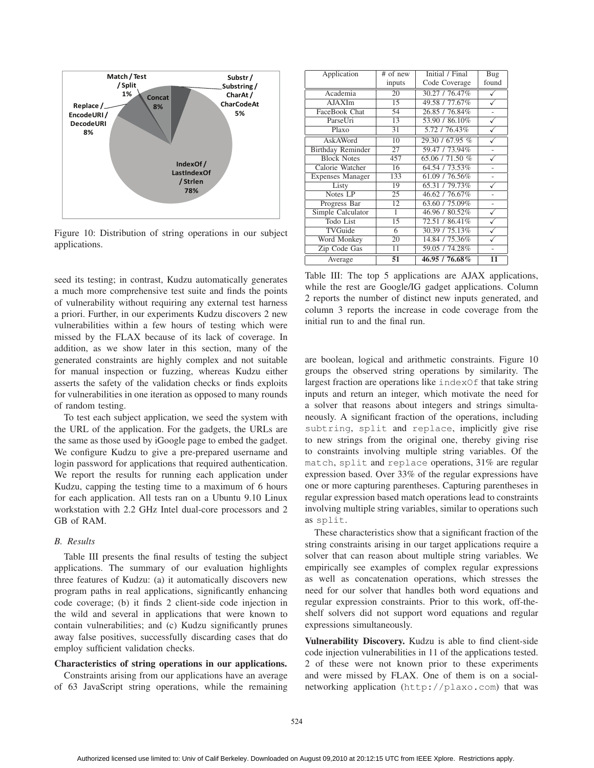![](_page_11_Figure_0.jpeg)

Figure 10: Distribution of string operations in our subject applications.

seed its testing; in contrast, Kudzu automatically generates a much more comprehensive test suite and finds the points of vulnerability without requiring any external test harness a priori. Further, in our experiments Kudzu discovers 2 new vulnerabilities within a few hours of testing which were missed by the FLAX because of its lack of coverage. In addition, as we show later in this section, many of the generated constraints are highly complex and not suitable for manual inspection or fuzzing, whereas Kudzu either asserts the safety of the validation checks or finds exploits for vulnerabilities in one iteration as opposed to many rounds of random testing.

To test each subject application, we seed the system with the URL of the application. For the gadgets, the URLs are the same as those used by iGoogle page to embed the gadget. We configure Kudzu to give a pre-prepared username and login password for applications that required authentication. We report the results for running each application under Kudzu, capping the testing time to a maximum of 6 hours for each application. All tests ran on a Ubuntu 9.10 Linux workstation with 2.2 GHz Intel dual-core processors and 2 GB of RAM.

## *B. Results*

Table III presents the final results of testing the subject applications. The summary of our evaluation highlights three features of Kudzu: (a) it automatically discovers new program paths in real applications, significantly enhancing code coverage; (b) it finds 2 client-side code injection in the wild and several in applications that were known to contain vulnerabilities; and (c) Kudzu significantly prunes away false positives, successfully discarding cases that do employ sufficient validation checks.

# **Characteristics of string operations in our applications.**

Constraints arising from our applications have an average of 63 JavaScript string operations, while the remaining

| Application             | $#$ of new      | Initial / Final | Bug             |
|-------------------------|-----------------|-----------------|-----------------|
|                         | inputs          | Code Coverage   | found           |
| Academia                | 20              | 30.27 / 76.47%  | ✓               |
| $A$ J $AX$ Im           | 15              | 49.58 / 77.67%  | ✓               |
| FaceBook Chat           | 54              | 26.85 / 76.84%  |                 |
| ParseUri                | 13              | 53.90 / 86.10%  | ✓               |
| Plaxo                   | 31              | 5.72 / 76.43%   | √               |
| <b>AskAWord</b>         | 10              | 29.30 / 67.95 % | ✓               |
| Birthday Reminder       | 27              | 59.47 / 73.94%  |                 |
| <b>Block Notes</b>      | 457             | 65.06 / 71.50 % | ✓               |
| Calorie Watcher         | 16              | 64.54 / 73.53%  |                 |
| <b>Expenses Manager</b> | 133             | 61.09 / 76.56%  |                 |
| Listy                   | 19              | 65.31 / 79.73%  | ✓               |
| Notes LP                | 25              | 46.62 / 76.67%  |                 |
| Progress Bar            | 12              | 63.60 / 75.09%  |                 |
| Simple Calculator       | ī               | 46.96 / 80.52%  | ✓               |
| Todo List               | 15              | 72.51 / 86.41%  | √               |
| TVGuide                 | 6               | 30.39 / 75.13%  | ✓               |
| Word Monkey             | 20              | 14.84 / 75.36%  | √               |
| Zip Code Gas            | 11              | 59.05 / 74.28%  |                 |
| Average                 | $\overline{51}$ | 46.95 / 76.68%  | $\overline{11}$ |

Table III: The top 5 applications are AJAX applications, while the rest are Google/IG gadget applications. Column 2 reports the number of distinct new inputs generated, and column 3 reports the increase in code coverage from the initial run to and the final run.

are boolean, logical and arithmetic constraints. Figure 10 groups the observed string operations by similarity. The largest fraction are operations like indexOf that take string inputs and return an integer, which motivate the need for a solver that reasons about integers and strings simultaneously. A significant fraction of the operations, including subtring, split and replace, implicitly give rise to new strings from the original one, thereby giving rise to constraints involving multiple string variables. Of the match, split and replace operations, 31% are regular expression based. Over 33% of the regular expressions have one or more capturing parentheses. Capturing parentheses in regular expression based match operations lead to constraints involving multiple string variables, similar to operations such as split.

These characteristics show that a significant fraction of the string constraints arising in our target applications require a solver that can reason about multiple string variables. We empirically see examples of complex regular expressions as well as concatenation operations, which stresses the need for our solver that handles both word equations and regular expression constraints. Prior to this work, off-theshelf solvers did not support word equations and regular expressions simultaneously.

**Vulnerability Discovery.** Kudzu is able to find client-side code injection vulnerabilities in 11 of the applications tested. 2 of these were not known prior to these experiments and were missed by FLAX. One of them is on a socialnetworking application (http://plaxo.com) that was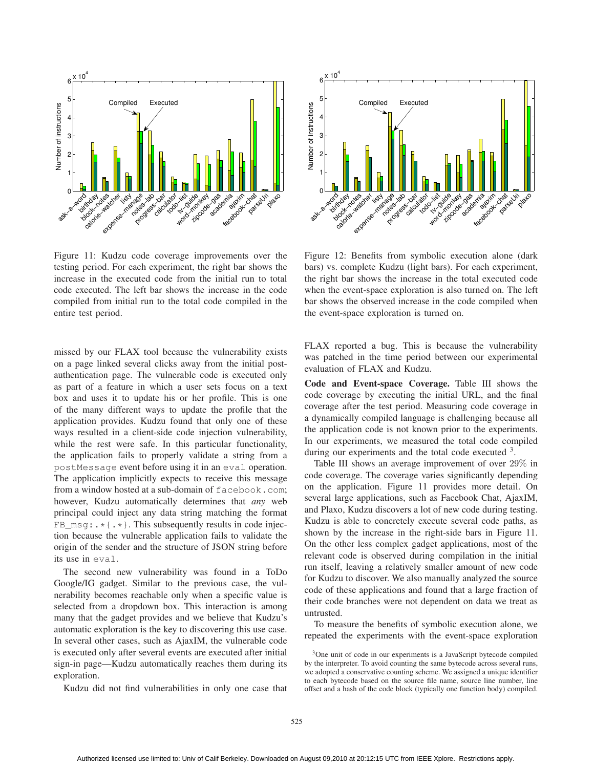![](_page_12_Figure_0.jpeg)

Figure 11: Kudzu code coverage improvements over the testing period. For each experiment, the right bar shows the increase in the executed code from the initial run to total code executed. The left bar shows the increase in the code compiled from initial run to the total code compiled in the entire test period.

missed by our FLAX tool because the vulnerability exists on a page linked several clicks away from the initial postauthentication page. The vulnerable code is executed only as part of a feature in which a user sets focus on a text box and uses it to update his or her profile. This is one of the many different ways to update the profile that the application provides. Kudzu found that only one of these ways resulted in a client-side code injection vulnerability, while the rest were safe. In this particular functionality, the application fails to properly validate a string from a postMessage event before using it in an eval operation. The application implicitly expects to receive this message from a window hosted at a sub-domain of facebook.com; however, Kudzu automatically determines that *any* web principal could inject any data string matching the format FB msq:  $,k$  {  $,k$  }. This subsequently results in code injection because the vulnerable application fails to validate the origin of the sender and the structure of JSON string before its use in eval.

The second new vulnerability was found in a ToDo Google/IG gadget. Similar to the previous case, the vulnerability becomes reachable only when a specific value is selected from a dropdown box. This interaction is among many that the gadget provides and we believe that Kudzu's automatic exploration is the key to discovering this use case. In several other cases, such as AjaxIM, the vulnerable code is executed only after several events are executed after initial sign-in page—Kudzu automatically reaches them during its exploration.

Kudzu did not find vulnerabilities in only one case that

![](_page_12_Figure_5.jpeg)

Figure 12: Benefits from symbolic execution alone (dark bars) vs. complete Kudzu (light bars). For each experiment, the right bar shows the increase in the total executed code when the event-space exploration is also turned on. The left bar shows the observed increase in the code compiled when the event-space exploration is turned on.

FLAX reported a bug. This is because the vulnerability was patched in the time period between our experimental evaluation of FLAX and Kudzu.

**Code and Event-space Coverage.** Table III shows the code coverage by executing the initial URL, and the final coverage after the test period. Measuring code coverage in a dynamically compiled language is challenging because all the application code is not known prior to the experiments. In our experiments, we measured the total code compiled during our experiments and the total code executed  $3$ .

Table III shows an average improvement of over 29% in code coverage. The coverage varies significantly depending on the application. Figure 11 provides more detail. On several large applications, such as Facebook Chat, AjaxIM, and Plaxo, Kudzu discovers a lot of new code during testing. Kudzu is able to concretely execute several code paths, as shown by the increase in the right-side bars in Figure 11. On the other less complex gadget applications, most of the relevant code is observed during compilation in the initial run itself, leaving a relatively smaller amount of new code for Kudzu to discover. We also manually analyzed the source code of these applications and found that a large fraction of their code branches were not dependent on data we treat as untrusted.

To measure the benefits of symbolic execution alone, we repeated the experiments with the event-space exploration

<sup>&</sup>lt;sup>3</sup>One unit of code in our experiments is a JavaScript bytecode compiled by the interpreter. To avoid counting the same bytecode across several runs, we adopted a conservative counting scheme. We assigned a unique identifier to each bytecode based on the source file name, source line number, line offset and a hash of the code block (typically one function body) compiled.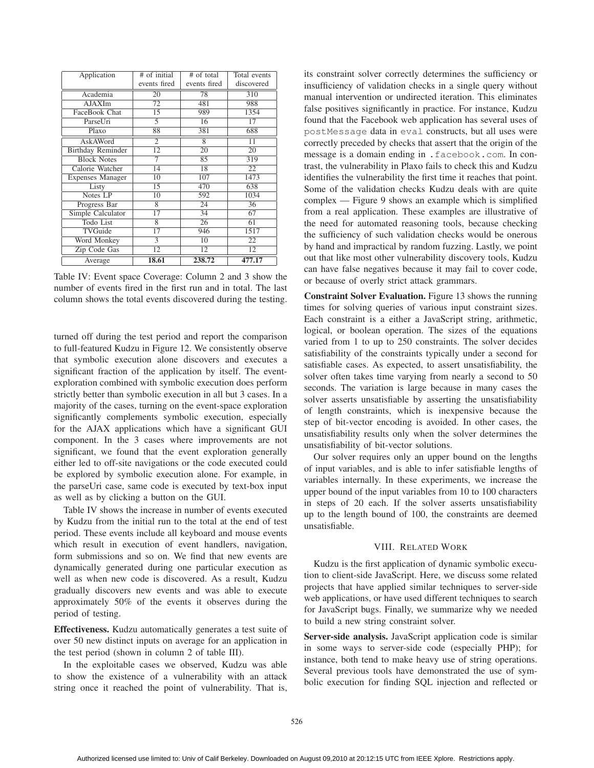| Application             | # of initial    | # of total      | Total events |
|-------------------------|-----------------|-----------------|--------------|
|                         | events fired    | events fired    | discovered   |
| Academia                | 20              | 78              | 310          |
| <b>AJAXIm</b>           | 72              | 481             | 988          |
| FaceBook Chat           | 15              | 989             | 1354         |
| ParseUri                | 5               | 16              | 17           |
| Plaxo                   | 88              | 381             | 688          |
| AskAWord                | 2               | $\overline{8}$  | 11           |
| Birthday Reminder       | 12              | 20              | 20           |
| <b>Block Notes</b>      | 7               | 85              | 319          |
| Calorie Watcher         | 14              | 18              | 22           |
| <b>Expenses Manager</b> | 10              | 107             | 1473         |
| Listy                   | 15              | 470             | 638          |
| Notes LP                | 10              | 592             | 1034         |
| Progress Bar            | 8               | $\overline{24}$ | 36           |
| Simple Calculator       | 17              | 34              | 67           |
| Todo List               | 8               | 26              | 61           |
| TVGuide                 | $\overline{17}$ | 946             | 1517         |
| Word Monkey             | $\overline{3}$  | 10              | 22           |
| Zip Code Gas            | 12              | 12              | 12           |
| Average                 | 18.61           | 238.72          | 477.17       |

Table IV: Event space Coverage: Column 2 and 3 show the number of events fired in the first run and in total. The last column shows the total events discovered during the testing.

turned off during the test period and report the comparison to full-featured Kudzu in Figure 12. We consistently observe that symbolic execution alone discovers and executes a significant fraction of the application by itself. The eventexploration combined with symbolic execution does perform strictly better than symbolic execution in all but 3 cases. In a majority of the cases, turning on the event-space exploration significantly complements symbolic execution, especially for the AJAX applications which have a significant GUI component. In the 3 cases where improvements are not significant, we found that the event exploration generally either led to off-site navigations or the code executed could be explored by symbolic execution alone. For example, in the parseUri case, same code is executed by text-box input as well as by clicking a button on the GUI.

Table IV shows the increase in number of events executed by Kudzu from the initial run to the total at the end of test period. These events include all keyboard and mouse events which result in execution of event handlers, navigation, form submissions and so on. We find that new events are dynamically generated during one particular execution as well as when new code is discovered. As a result, Kudzu gradually discovers new events and was able to execute approximately 50% of the events it observes during the period of testing.

**Effectiveness.** Kudzu automatically generates a test suite of over 50 new distinct inputs on average for an application in the test period (shown in column 2 of table III).

In the exploitable cases we observed, Kudzu was able to show the existence of a vulnerability with an attack string once it reached the point of vulnerability. That is,

its constraint solver correctly determines the sufficiency or insufficiency of validation checks in a single query without manual intervention or undirected iteration. This eliminates false positives significantly in practice. For instance, Kudzu found that the Facebook web application has several uses of postMessage data in eval constructs, but all uses were correctly preceded by checks that assert that the origin of the message is a domain ending in .facebook.com. In contrast, the vulnerability in Plaxo fails to check this and Kudzu identifies the vulnerability the first time it reaches that point. Some of the validation checks Kudzu deals with are quite complex — Figure 9 shows an example which is simplified from a real application. These examples are illustrative of the need for automated reasoning tools, because checking the sufficiency of such validation checks would be onerous by hand and impractical by random fuzzing. Lastly, we point out that like most other vulnerability discovery tools, Kudzu can have false negatives because it may fail to cover code, or because of overly strict attack grammars.

**Constraint Solver Evaluation.** Figure 13 shows the running times for solving queries of various input constraint sizes. Each constraint is a either a JavaScript string, arithmetic, logical, or boolean operation. The sizes of the equations varied from 1 to up to 250 constraints. The solver decides satisfiability of the constraints typically under a second for satisfiable cases. As expected, to assert unsatisfiability, the solver often takes time varying from nearly a second to 50 seconds. The variation is large because in many cases the solver asserts unsatisfiable by asserting the unsatisfiability of length constraints, which is inexpensive because the step of bit-vector encoding is avoided. In other cases, the unsatisfiability results only when the solver determines the unsatisfiability of bit-vector solutions.

Our solver requires only an upper bound on the lengths of input variables, and is able to infer satisfiable lengths of variables internally. In these experiments, we increase the upper bound of the input variables from 10 to 100 characters in steps of 20 each. If the solver asserts unsatisfiability up to the length bound of 100, the constraints are deemed unsatisfiable.

#### VIII. RELATED WORK

Kudzu is the first application of dynamic symbolic execution to client-side JavaScript. Here, we discuss some related projects that have applied similar techniques to server-side web applications, or have used different techniques to search for JavaScript bugs. Finally, we summarize why we needed to build a new string constraint solver.

**Server-side analysis.** JavaScript application code is similar in some ways to server-side code (especially PHP); for instance, both tend to make heavy use of string operations. Several previous tools have demonstrated the use of symbolic execution for finding SQL injection and reflected or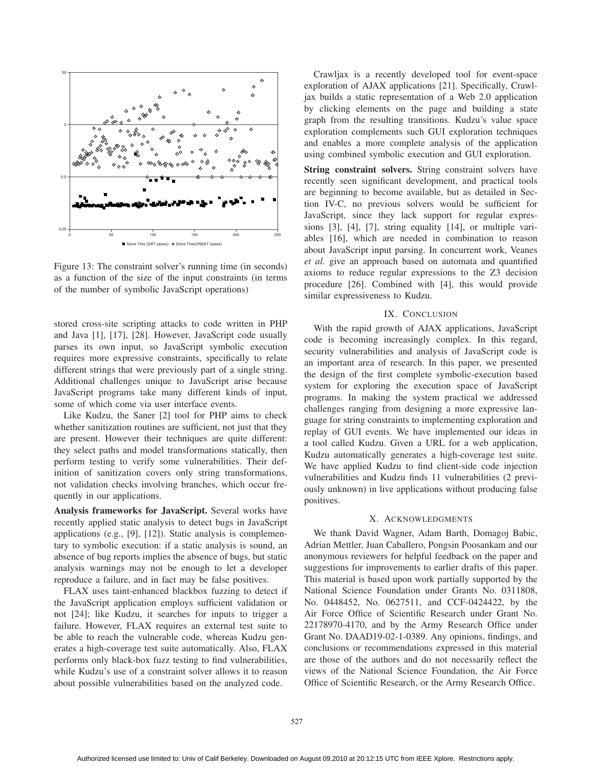![](_page_14_Figure_0.jpeg)

Figure 13: The constraint solver's running time (in seconds) as a function of the size of the input constraints (in terms of the number of symbolic JavaScript operations)

stored cross-site scripting attacks to code written in PHP and Java [1], [17], [28]. However, JavaScript code usually parses its own input, so JavaScript symbolic execution requires more expressive constraints, specifically to relate different strings that were previously part of a single string. Additional challenges unique to JavaScript arise because JavaScript programs take many different kinds of input, some of which come via user interface events.

Like Kudzu, the Saner [2] tool for PHP aims to check whether sanitization routines are sufficient, not just that they are present. However their techniques are quite different: they select paths and model transformations statically, then perform testing to verify some vulnerabilities. Their definition of sanitization covers only string transformations, not validation checks involving branches, which occur frequently in our applications.

**Analysis frameworks for JavaScript.** Several works have recently applied static analysis to detect bugs in JavaScript applications (e.g., [9], [12]). Static analysis is complementary to symbolic execution: if a static analysis is sound, an absence of bug reports implies the absence of bugs, but static analysis warnings may not be enough to let a developer reproduce a failure, and in fact may be false positives.

FLAX uses taint-enhanced blackbox fuzzing to detect if the JavaScript application employs sufficient validation or not [24]; like Kudzu, it searches for inputs to trigger a failure. However, FLAX requires an external test suite to be able to reach the vulnerable code, whereas Kudzu generates a high-coverage test suite automatically. Also, FLAX performs only black-box fuzz testing to find vulnerabilities, while Kudzu's use of a constraint solver allows it to reason about possible vulnerabilities based on the analyzed code.

Crawljax is a recently developed tool for event-space exploration of AJAX applications [21]. Specifically, Crawljax builds a static representation of a Web 2.0 application by clicking elements on the page and building a state graph from the resulting transitions. Kudzu's value space exploration complements such GUI exploration techniques and enables a more complete analysis of the application using combined symbolic execution and GUI exploration.

**String constraint solvers.** String constraint solvers have recently seen significant development, and practical tools are beginning to become available, but as detailed in Section IV-C, no previous solvers would be sufficient for JavaScript, since they lack support for regular expressions [3], [4], [7], string equality [14], or multiple variables [16], which are needed in combination to reason about JavaScript input parsing. In concurrent work, Veanes *et al.* give an approach based on automata and quantified axioms to reduce regular expressions to the Z3 decision procedure [26]. Combined with [4], this would provide similar expressiveness to Kudzu.

#### IX. CONCLUSION

With the rapid growth of AJAX applications, JavaScript code is becoming increasingly complex. In this regard, security vulnerabilities and analysis of JavaScript code is an important area of research. In this paper, we presented the design of the first complete symbolic-execution based system for exploring the execution space of JavaScript programs. In making the system practical we addressed challenges ranging from designing a more expressive language for string constraints to implementing exploration and replay of GUI events. We have implemented our ideas in a tool called Kudzu. Given a URL for a web application, Kudzu automatically generates a high-coverage test suite. We have applied Kudzu to find client-side code injection vulnerabilities and Kudzu finds 11 vulnerabilities (2 previously unknown) in live applications without producing false positives.

#### X. ACKNOWLEDGMENTS

We thank David Wagner, Adam Barth, Domagoj Babic, Adrian Mettler, Juan Caballero, Pongsin Poosankam and our anonymous reviewers for helpful feedback on the paper and suggestions for improvements to earlier drafts of this paper. This material is based upon work partially supported by the National Science Foundation under Grants No. 0311808, No. 0448452, No. 0627511, and CCF-0424422, by the Air Force Office of Scientific Research under Grant No. 22178970-4170, and by the Army Research Office under Grant No. DAAD19-02-1-0389. Any opinions, findings, and conclusions or recommendations expressed in this material are those of the authors and do not necessarily reflect the views of the National Science Foundation, the Air Force Office of Scientific Research, or the Army Research Office.